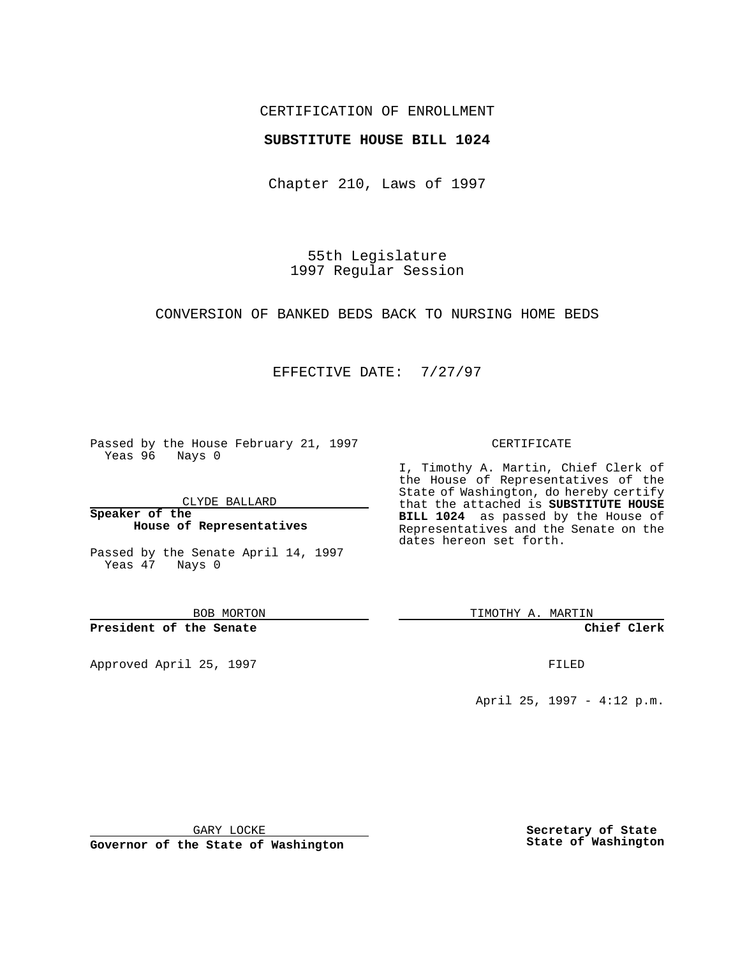# CERTIFICATION OF ENROLLMENT

## **SUBSTITUTE HOUSE BILL 1024**

Chapter 210, Laws of 1997

55th Legislature 1997 Regular Session

CONVERSION OF BANKED BEDS BACK TO NURSING HOME BEDS

# EFFECTIVE DATE: 7/27/97

Passed by the House February 21, 1997 Yeas 96 Nays 0

CLYDE BALLARD

**Speaker of the House of Representatives**

Passed by the Senate April 14, 1997 Yeas 47 Nays 0

BOB MORTON

**President of the Senate**

Approved April 25, 1997 **FILED** 

#### CERTIFICATE

I, Timothy A. Martin, Chief Clerk of the House of Representatives of the State of Washington, do hereby certify that the attached is **SUBSTITUTE HOUSE BILL 1024** as passed by the House of Representatives and the Senate on the dates hereon set forth.

TIMOTHY A. MARTIN

**Chief Clerk**

April 25, 1997 - 4:12 p.m.

GARY LOCKE

**Governor of the State of Washington**

**Secretary of State State of Washington**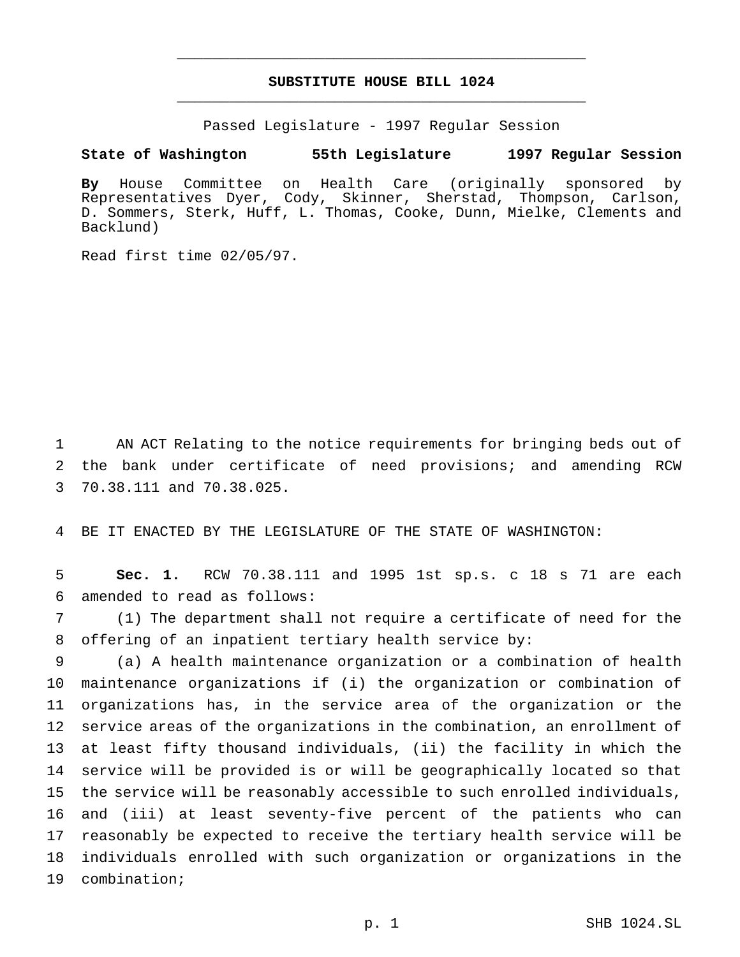# **SUBSTITUTE HOUSE BILL 1024** \_\_\_\_\_\_\_\_\_\_\_\_\_\_\_\_\_\_\_\_\_\_\_\_\_\_\_\_\_\_\_\_\_\_\_\_\_\_\_\_\_\_\_\_\_\_\_

\_\_\_\_\_\_\_\_\_\_\_\_\_\_\_\_\_\_\_\_\_\_\_\_\_\_\_\_\_\_\_\_\_\_\_\_\_\_\_\_\_\_\_\_\_\_\_

Passed Legislature - 1997 Regular Session

#### **State of Washington 55th Legislature 1997 Regular Session**

**By** House Committee on Health Care (originally sponsored by Representatives Dyer, Cody, Skinner, Sherstad, Thompson, Carlson, D. Sommers, Sterk, Huff, L. Thomas, Cooke, Dunn, Mielke, Clements and Backlund)

Read first time 02/05/97.

 AN ACT Relating to the notice requirements for bringing beds out of the bank under certificate of need provisions; and amending RCW 70.38.111 and 70.38.025.

BE IT ENACTED BY THE LEGISLATURE OF THE STATE OF WASHINGTON:

 **Sec. 1.** RCW 70.38.111 and 1995 1st sp.s. c 18 s 71 are each amended to read as follows:

 (1) The department shall not require a certificate of need for the offering of an inpatient tertiary health service by:

 (a) A health maintenance organization or a combination of health maintenance organizations if (i) the organization or combination of organizations has, in the service area of the organization or the service areas of the organizations in the combination, an enrollment of at least fifty thousand individuals, (ii) the facility in which the service will be provided is or will be geographically located so that the service will be reasonably accessible to such enrolled individuals, and (iii) at least seventy-five percent of the patients who can reasonably be expected to receive the tertiary health service will be individuals enrolled with such organization or organizations in the combination;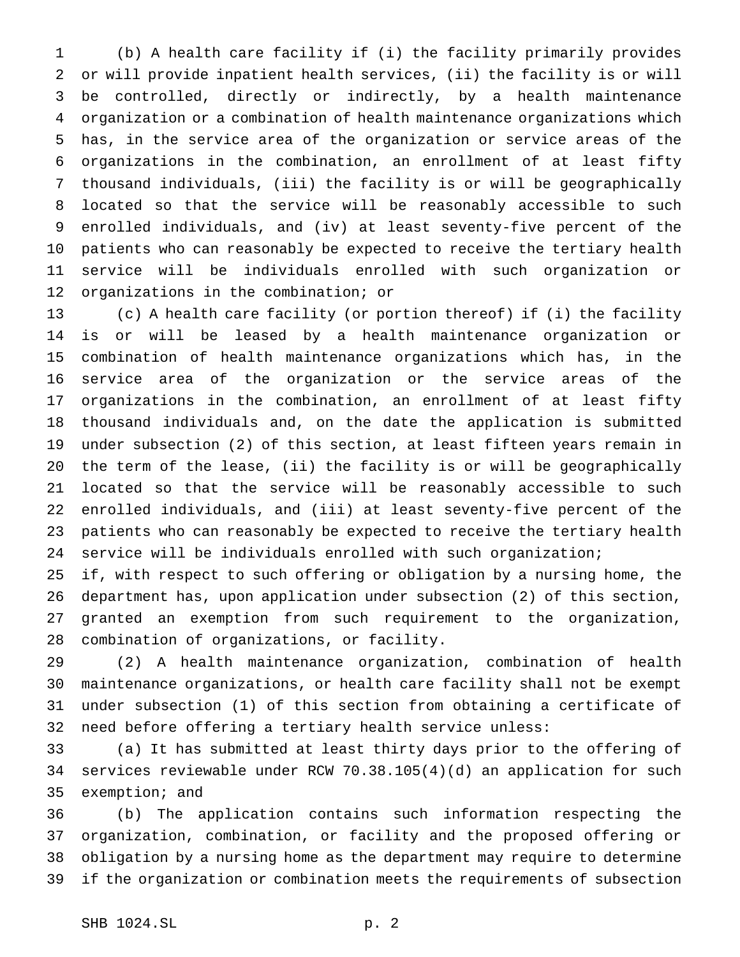(b) A health care facility if (i) the facility primarily provides or will provide inpatient health services, (ii) the facility is or will be controlled, directly or indirectly, by a health maintenance organization or a combination of health maintenance organizations which has, in the service area of the organization or service areas of the organizations in the combination, an enrollment of at least fifty thousand individuals, (iii) the facility is or will be geographically located so that the service will be reasonably accessible to such enrolled individuals, and (iv) at least seventy-five percent of the patients who can reasonably be expected to receive the tertiary health service will be individuals enrolled with such organization or organizations in the combination; or

 (c) A health care facility (or portion thereof) if (i) the facility is or will be leased by a health maintenance organization or combination of health maintenance organizations which has, in the service area of the organization or the service areas of the organizations in the combination, an enrollment of at least fifty thousand individuals and, on the date the application is submitted under subsection (2) of this section, at least fifteen years remain in the term of the lease, (ii) the facility is or will be geographically located so that the service will be reasonably accessible to such enrolled individuals, and (iii) at least seventy-five percent of the patients who can reasonably be expected to receive the tertiary health service will be individuals enrolled with such organization;

 if, with respect to such offering or obligation by a nursing home, the department has, upon application under subsection (2) of this section, granted an exemption from such requirement to the organization, combination of organizations, or facility.

 (2) A health maintenance organization, combination of health maintenance organizations, or health care facility shall not be exempt under subsection (1) of this section from obtaining a certificate of need before offering a tertiary health service unless:

 (a) It has submitted at least thirty days prior to the offering of services reviewable under RCW 70.38.105(4)(d) an application for such exemption; and

 (b) The application contains such information respecting the organization, combination, or facility and the proposed offering or obligation by a nursing home as the department may require to determine if the organization or combination meets the requirements of subsection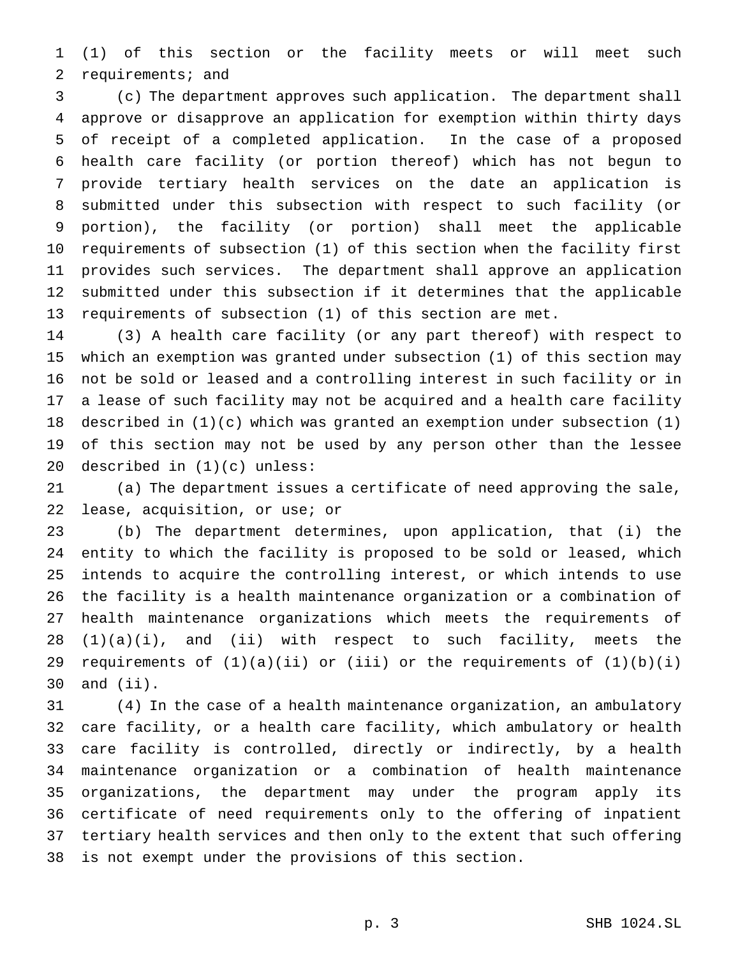(1) of this section or the facility meets or will meet such requirements; and

 (c) The department approves such application. The department shall approve or disapprove an application for exemption within thirty days of receipt of a completed application. In the case of a proposed health care facility (or portion thereof) which has not begun to provide tertiary health services on the date an application is submitted under this subsection with respect to such facility (or portion), the facility (or portion) shall meet the applicable requirements of subsection (1) of this section when the facility first provides such services. The department shall approve an application submitted under this subsection if it determines that the applicable requirements of subsection (1) of this section are met.

 (3) A health care facility (or any part thereof) with respect to which an exemption was granted under subsection (1) of this section may not be sold or leased and a controlling interest in such facility or in a lease of such facility may not be acquired and a health care facility described in (1)(c) which was granted an exemption under subsection (1) of this section may not be used by any person other than the lessee described in (1)(c) unless:

 (a) The department issues a certificate of need approving the sale, lease, acquisition, or use; or

 (b) The department determines, upon application, that (i) the entity to which the facility is proposed to be sold or leased, which intends to acquire the controlling interest, or which intends to use the facility is a health maintenance organization or a combination of health maintenance organizations which meets the requirements of (1)(a)(i), and (ii) with respect to such facility, meets the 29 requirements of  $(1)(a)(ii)$  or  $(iii)$  or the requirements of  $(1)(b)(i)$ and (ii).

 (4) In the case of a health maintenance organization, an ambulatory care facility, or a health care facility, which ambulatory or health care facility is controlled, directly or indirectly, by a health maintenance organization or a combination of health maintenance organizations, the department may under the program apply its certificate of need requirements only to the offering of inpatient tertiary health services and then only to the extent that such offering is not exempt under the provisions of this section.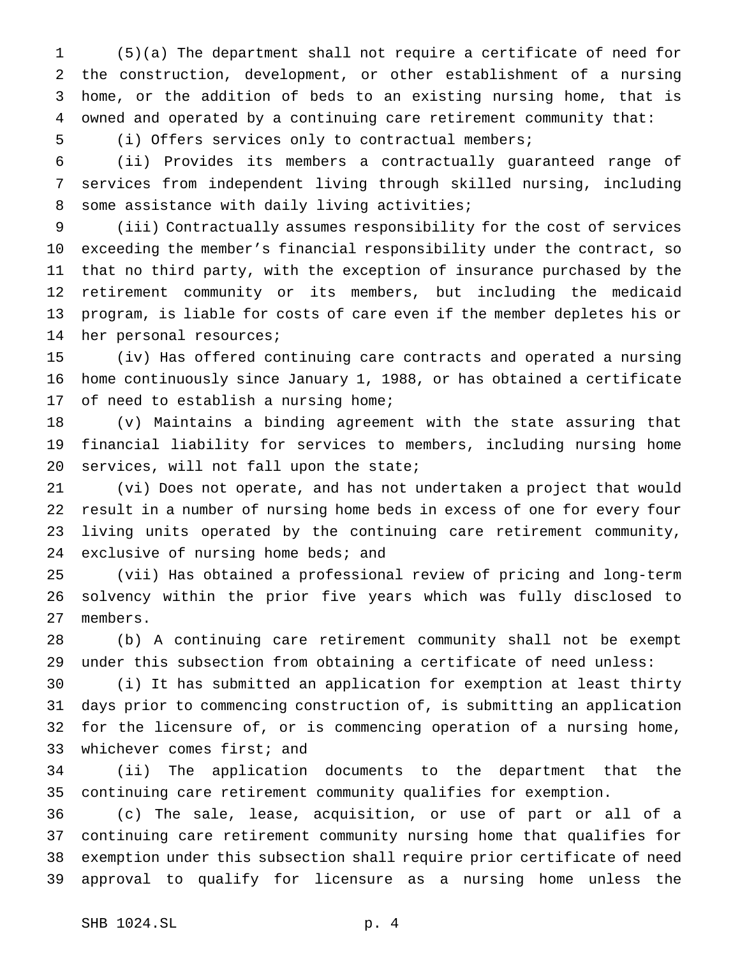(5)(a) The department shall not require a certificate of need for the construction, development, or other establishment of a nursing home, or the addition of beds to an existing nursing home, that is owned and operated by a continuing care retirement community that:

(i) Offers services only to contractual members;

 (ii) Provides its members a contractually guaranteed range of services from independent living through skilled nursing, including some assistance with daily living activities;

 (iii) Contractually assumes responsibility for the cost of services exceeding the member's financial responsibility under the contract, so that no third party, with the exception of insurance purchased by the retirement community or its members, but including the medicaid program, is liable for costs of care even if the member depletes his or her personal resources;

 (iv) Has offered continuing care contracts and operated a nursing home continuously since January 1, 1988, or has obtained a certificate of need to establish a nursing home;

 (v) Maintains a binding agreement with the state assuring that financial liability for services to members, including nursing home services, will not fall upon the state;

 (vi) Does not operate, and has not undertaken a project that would result in a number of nursing home beds in excess of one for every four living units operated by the continuing care retirement community, 24 exclusive of nursing home beds; and

 (vii) Has obtained a professional review of pricing and long-term solvency within the prior five years which was fully disclosed to members.

 (b) A continuing care retirement community shall not be exempt under this subsection from obtaining a certificate of need unless:

 (i) It has submitted an application for exemption at least thirty days prior to commencing construction of, is submitting an application for the licensure of, or is commencing operation of a nursing home, 33 whichever comes first; and

 (ii) The application documents to the department that the continuing care retirement community qualifies for exemption.

 (c) The sale, lease, acquisition, or use of part or all of a continuing care retirement community nursing home that qualifies for exemption under this subsection shall require prior certificate of need approval to qualify for licensure as a nursing home unless the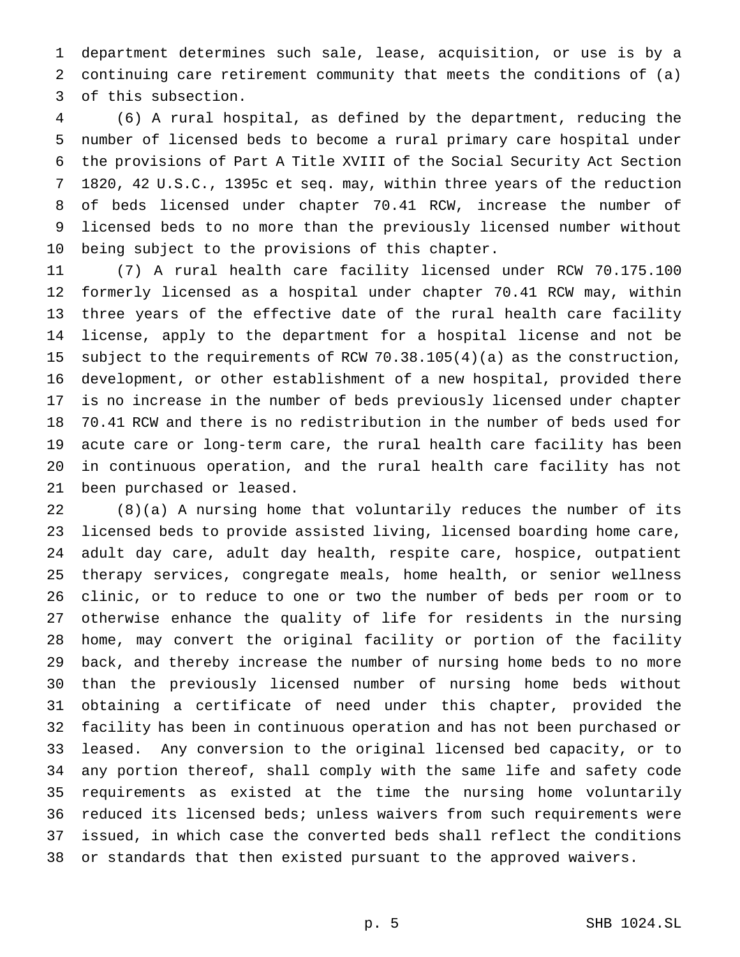department determines such sale, lease, acquisition, or use is by a continuing care retirement community that meets the conditions of (a) of this subsection.

 (6) A rural hospital, as defined by the department, reducing the number of licensed beds to become a rural primary care hospital under the provisions of Part A Title XVIII of the Social Security Act Section 1820, 42 U.S.C., 1395c et seq. may, within three years of the reduction of beds licensed under chapter 70.41 RCW, increase the number of licensed beds to no more than the previously licensed number without being subject to the provisions of this chapter.

 (7) A rural health care facility licensed under RCW 70.175.100 formerly licensed as a hospital under chapter 70.41 RCW may, within three years of the effective date of the rural health care facility license, apply to the department for a hospital license and not be subject to the requirements of RCW 70.38.105(4)(a) as the construction, development, or other establishment of a new hospital, provided there is no increase in the number of beds previously licensed under chapter 70.41 RCW and there is no redistribution in the number of beds used for acute care or long-term care, the rural health care facility has been in continuous operation, and the rural health care facility has not been purchased or leased.

 (8)(a) A nursing home that voluntarily reduces the number of its licensed beds to provide assisted living, licensed boarding home care, adult day care, adult day health, respite care, hospice, outpatient therapy services, congregate meals, home health, or senior wellness clinic, or to reduce to one or two the number of beds per room or to otherwise enhance the quality of life for residents in the nursing home, may convert the original facility or portion of the facility back, and thereby increase the number of nursing home beds to no more than the previously licensed number of nursing home beds without obtaining a certificate of need under this chapter, provided the facility has been in continuous operation and has not been purchased or leased. Any conversion to the original licensed bed capacity, or to any portion thereof, shall comply with the same life and safety code requirements as existed at the time the nursing home voluntarily reduced its licensed beds; unless waivers from such requirements were issued, in which case the converted beds shall reflect the conditions or standards that then existed pursuant to the approved waivers.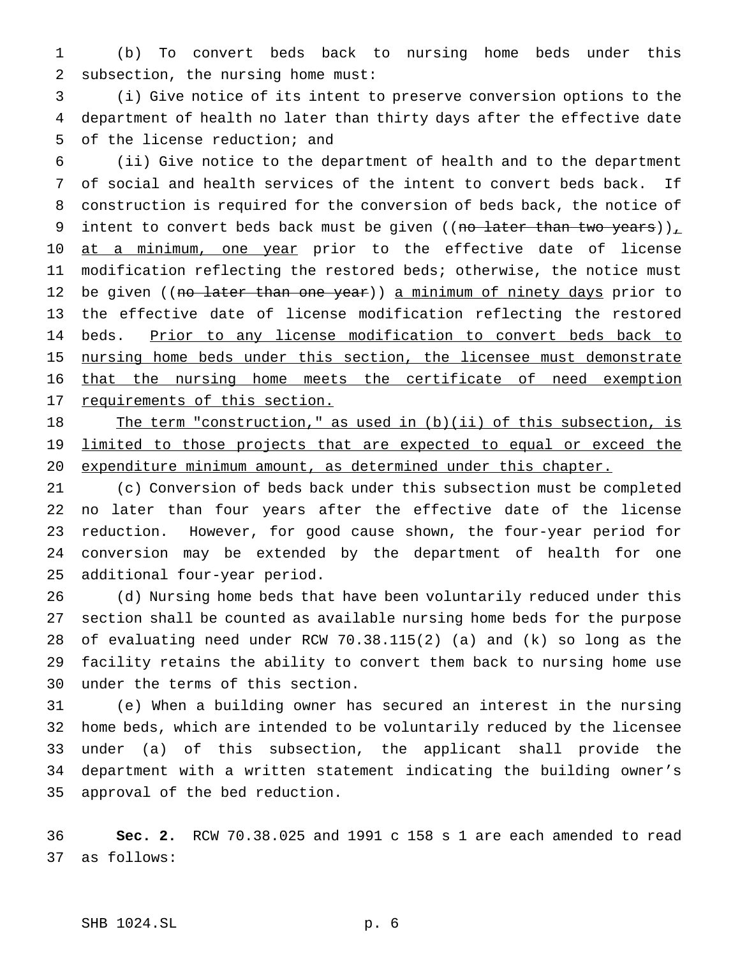(b) To convert beds back to nursing home beds under this subsection, the nursing home must:

 (i) Give notice of its intent to preserve conversion options to the department of health no later than thirty days after the effective date of the license reduction; and

 (ii) Give notice to the department of health and to the department of social and health services of the intent to convert beds back. If construction is required for the conversion of beds back, the notice of 9 intent to convert beds back must be given ((no later than two years))<sub> $\perp$ </sub> 10 at a minimum, one year prior to the effective date of license modification reflecting the restored beds; otherwise, the notice must 12 be given ((no later than one year)) a minimum of ninety days prior to the effective date of license modification reflecting the restored 14 beds. Prior to any license modification to convert beds back to 15 nursing home beds under this section, the licensee must demonstrate that the nursing home meets the certificate of need exemption 17 requirements of this section.

18 The term "construction," as used in (b)(ii) of this subsection, is 19 limited to those projects that are expected to equal or exceed the 20 expenditure minimum amount, as determined under this chapter.

 (c) Conversion of beds back under this subsection must be completed no later than four years after the effective date of the license reduction. However, for good cause shown, the four-year period for conversion may be extended by the department of health for one additional four-year period.

 (d) Nursing home beds that have been voluntarily reduced under this section shall be counted as available nursing home beds for the purpose of evaluating need under RCW 70.38.115(2) (a) and (k) so long as the facility retains the ability to convert them back to nursing home use under the terms of this section.

 (e) When a building owner has secured an interest in the nursing home beds, which are intended to be voluntarily reduced by the licensee under (a) of this subsection, the applicant shall provide the department with a written statement indicating the building owner's approval of the bed reduction.

 **Sec. 2.** RCW 70.38.025 and 1991 c 158 s 1 are each amended to read as follows: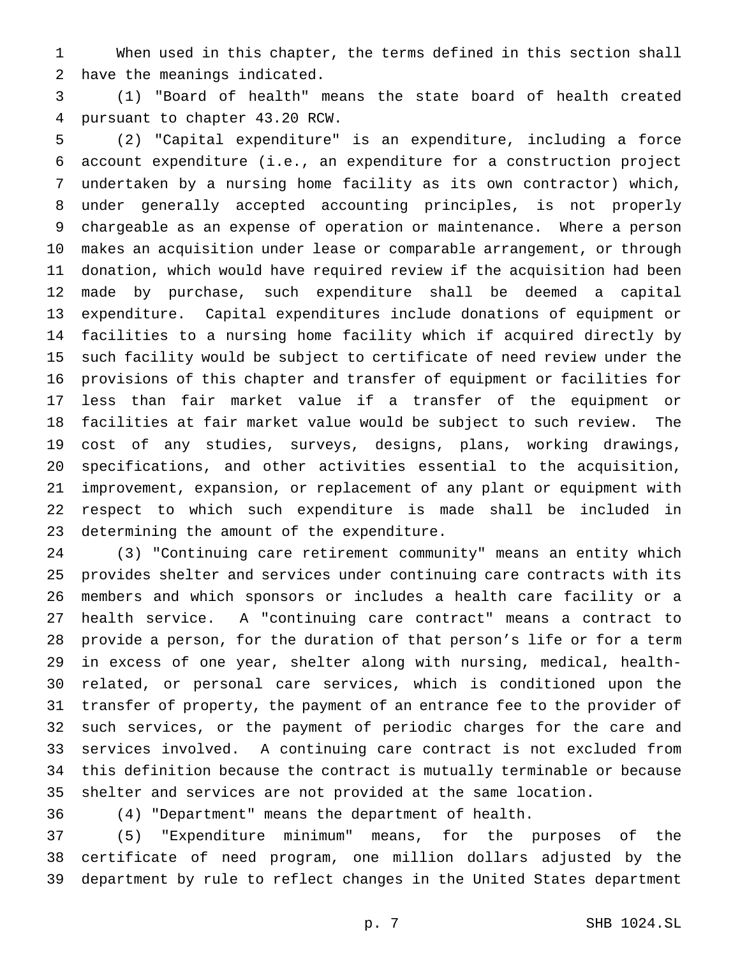When used in this chapter, the terms defined in this section shall have the meanings indicated.

 (1) "Board of health" means the state board of health created pursuant to chapter 43.20 RCW.

 (2) "Capital expenditure" is an expenditure, including a force account expenditure (i.e., an expenditure for a construction project undertaken by a nursing home facility as its own contractor) which, under generally accepted accounting principles, is not properly chargeable as an expense of operation or maintenance. Where a person makes an acquisition under lease or comparable arrangement, or through donation, which would have required review if the acquisition had been made by purchase, such expenditure shall be deemed a capital expenditure. Capital expenditures include donations of equipment or facilities to a nursing home facility which if acquired directly by such facility would be subject to certificate of need review under the provisions of this chapter and transfer of equipment or facilities for less than fair market value if a transfer of the equipment or facilities at fair market value would be subject to such review. The cost of any studies, surveys, designs, plans, working drawings, specifications, and other activities essential to the acquisition, improvement, expansion, or replacement of any plant or equipment with respect to which such expenditure is made shall be included in determining the amount of the expenditure.

 (3) "Continuing care retirement community" means an entity which provides shelter and services under continuing care contracts with its members and which sponsors or includes a health care facility or a health service. A "continuing care contract" means a contract to provide a person, for the duration of that person's life or for a term in excess of one year, shelter along with nursing, medical, health- related, or personal care services, which is conditioned upon the transfer of property, the payment of an entrance fee to the provider of such services, or the payment of periodic charges for the care and services involved. A continuing care contract is not excluded from this definition because the contract is mutually terminable or because shelter and services are not provided at the same location.

(4) "Department" means the department of health.

 (5) "Expenditure minimum" means, for the purposes of the certificate of need program, one million dollars adjusted by the department by rule to reflect changes in the United States department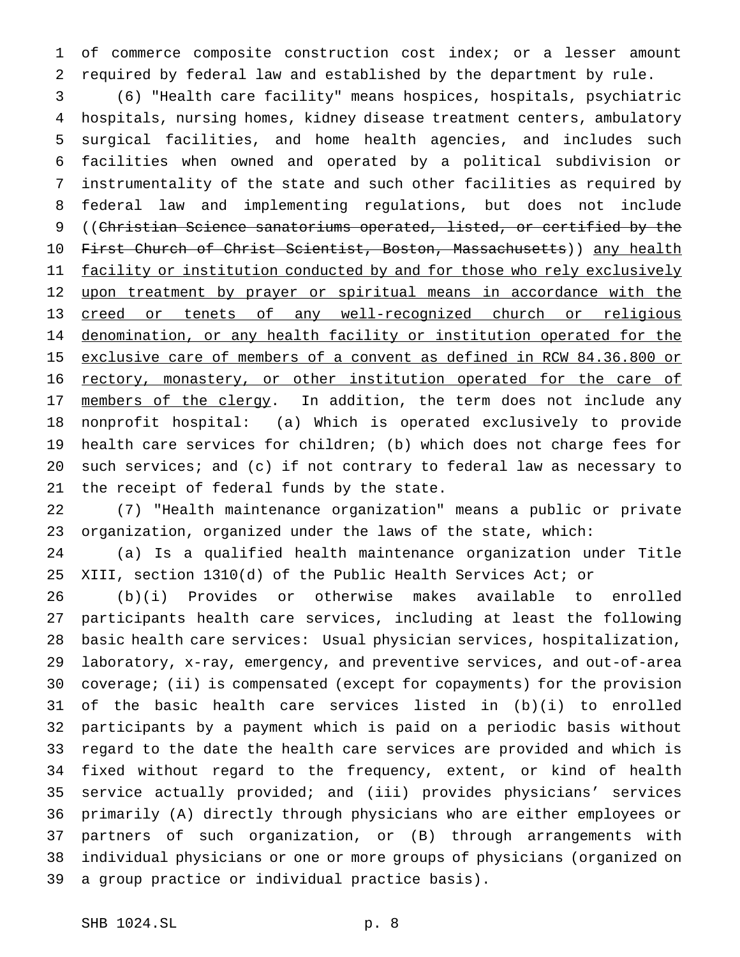of commerce composite construction cost index; or a lesser amount required by federal law and established by the department by rule.

 (6) "Health care facility" means hospices, hospitals, psychiatric hospitals, nursing homes, kidney disease treatment centers, ambulatory surgical facilities, and home health agencies, and includes such facilities when owned and operated by a political subdivision or instrumentality of the state and such other facilities as required by federal law and implementing regulations, but does not include ((Christian Science sanatoriums operated, listed, or certified by the 10 First Church of Christ Scientist, Boston, Massachusetts)) any health 11 facility or institution conducted by and for those who rely exclusively 12 upon treatment by prayer or spiritual means in accordance with the creed or tenets of any well-recognized church or religious denomination, or any health facility or institution operated for the exclusive care of members of a convent as defined in RCW 84.36.800 or rectory, monastery, or other institution operated for the care of 17 members of the clergy. In addition, the term does not include any nonprofit hospital: (a) Which is operated exclusively to provide health care services for children; (b) which does not charge fees for such services; and (c) if not contrary to federal law as necessary to the receipt of federal funds by the state.

 (7) "Health maintenance organization" means a public or private organization, organized under the laws of the state, which:

 (a) Is a qualified health maintenance organization under Title XIII, section 1310(d) of the Public Health Services Act; or

 (b)(i) Provides or otherwise makes available to enrolled participants health care services, including at least the following basic health care services: Usual physician services, hospitalization, laboratory, x-ray, emergency, and preventive services, and out-of-area coverage; (ii) is compensated (except for copayments) for the provision of the basic health care services listed in (b)(i) to enrolled participants by a payment which is paid on a periodic basis without regard to the date the health care services are provided and which is fixed without regard to the frequency, extent, or kind of health service actually provided; and (iii) provides physicians' services primarily (A) directly through physicians who are either employees or partners of such organization, or (B) through arrangements with individual physicians or one or more groups of physicians (organized on a group practice or individual practice basis).